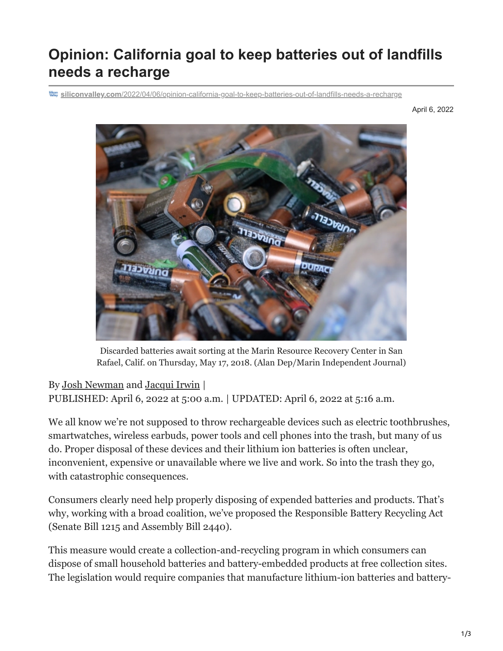## **Opinion: California goal to keep batteries out of landfills needs a recharge**

**siliconvalley.com**[/2022/04/06/opinion-california-goal-to-keep-batteries-out-of-landfills-needs-a-recharge](https://www.siliconvalley.com/2022/04/06/opinion-california-goal-to-keep-batteries-out-of-landfills-needs-a-recharge/)

April 6, 2022



Discarded batteries await sorting at the Marin Resource Recovery Center in San Rafael, Calif. on Thursday, May 17, 2018. (Alan Dep/Marin Independent Journal)

## By [Josh Newman](https://www.siliconvalley.com/author/josh-newman/) and [Jacqui Irwin](https://www.siliconvalley.com/author/jacqui-irwin/) |

PUBLISHED: April 6, 2022 at 5:00 a.m. | UPDATED: April 6, 2022 at 5:16 a.m.

We all know we're not supposed to throw rechargeable devices such as electric toothbrushes, smartwatches, wireless earbuds, power tools and cell phones into the trash, but many of us do. Proper disposal of these devices and their lithium ion batteries is often unclear, inconvenient, expensive or unavailable where we live and work. So into the trash they go, with catastrophic consequences.

Consumers clearly need help properly disposing of expended batteries and products. That's why, working with a broad coalition, we've proposed the Responsible Battery Recycling Act (Senate Bill 1215 and Assembly Bill 2440).

This measure would create a collection-and-recycling program in which consumers can dispose of small household batteries and battery-embedded products at free collection sites. The legislation would require companies that manufacture lithium-ion batteries and battery-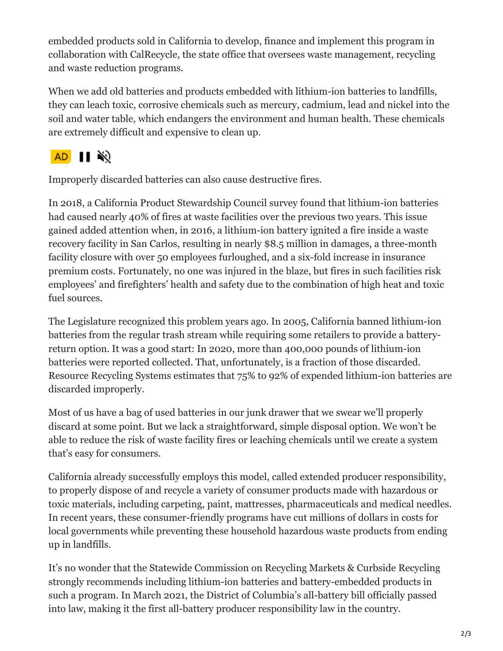embedded products sold in California to develop, finance and implement this program in collaboration with CalRecycle, the state office that oversees waste management, recycling and waste reduction programs.

When we add old batteries and products embedded with lithium-ion batteries to landfills, they can leach toxic, corrosive chemicals such as mercury, cadmium, lead and nickel into the soil and water table, which endangers the environment and human health. These chemicals are extremely difficult and expensive to clean up.

## AD  $\blacksquare$

Improperly discarded batteries can also cause destructive fires.

In 2018, a California Product Stewardship Council survey found that lithium-ion batteries had caused nearly 40% of fires at waste facilities over the previous two years. This issue gained added attention when, in 2016, a lithium-ion battery ignited a fire inside a waste recovery facility in San Carlos, resulting in nearly \$8.5 million in damages, a three-month facility closure with over 50 employees furloughed, and a six-fold increase in insurance premium costs. Fortunately, no one was injured in the blaze, but fires in such facilities risk employees' and firefighters' health and safety due to the combination of high heat and toxic fuel sources.

The Legislature recognized this problem years ago. In 2005, California banned lithium-ion batteries from the regular trash stream while requiring some retailers to provide a batteryreturn option. It was a good start: In 2020, more than 400,000 pounds of lithium-ion batteries were reported collected. That, unfortunately, is a fraction of those discarded. Resource Recycling Systems estimates that 75% to 92% of expended lithium-ion batteries are discarded improperly.

Most of us have a bag of used batteries in our junk drawer that we swear we'll properly discard at some point. But we lack a straightforward, simple disposal option. We won't be able to reduce the risk of waste facility fires or leaching chemicals until we create a system that's easy for consumers.

California already successfully employs this model, called extended producer responsibility, to properly dispose of and recycle a variety of consumer products made with hazardous or toxic materials, including carpeting, paint, mattresses, pharmaceuticals and medical needles. In recent years, these consumer-friendly programs have cut millions of dollars in costs for local governments while preventing these household hazardous waste products from ending up in landfills.

It's no wonder that the Statewide Commission on Recycling Markets & Curbside Recycling strongly recommends including lithium-ion batteries and battery-embedded products in such a program. In March 2021, the District of Columbia's all-battery bill officially passed into law, making it the first all-battery producer responsibility law in the country.